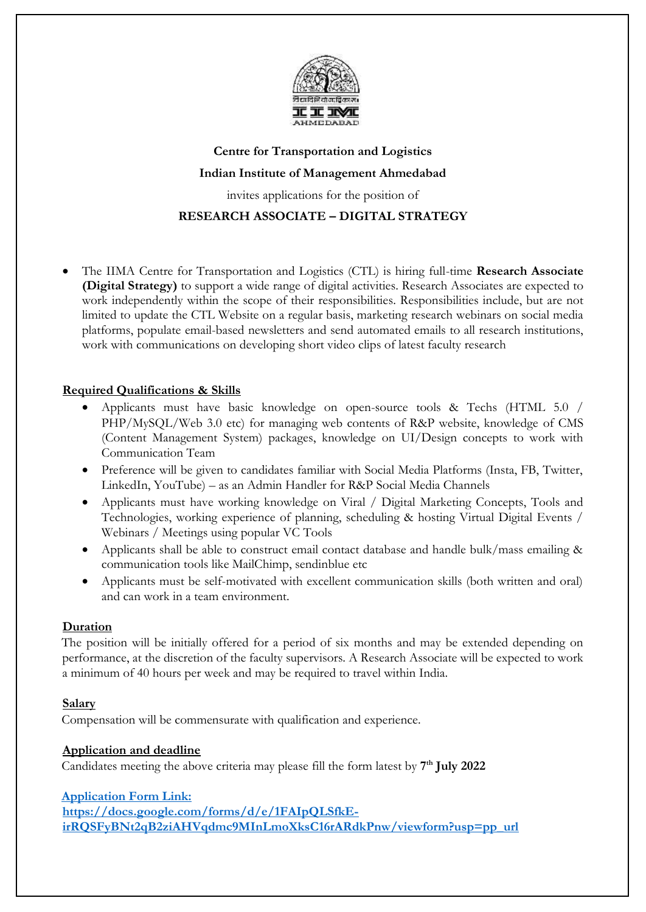

# **Centre for Transportation and Logistics Indian Institute of Management Ahmedabad**

invites applications for the position of

## **RESEARCH ASSOCIATE – DIGITAL STRATEGY**

 The IIMA Centre for Transportation and Logistics (CTL) is hiring full-time **Research Associate (Digital Strategy)** to support a wide range of digital activities. Research Associates are expected to work independently within the scope of their responsibilities. Responsibilities include, but are not limited to update the CTL Website on a regular basis, marketing research webinars on social media platforms, populate email-based newsletters and send automated emails to all research institutions, work with communications on developing short video clips of latest faculty research

#### **Required Qualifications & Skills**

- Applicants must have basic knowledge on open-source tools & Techs (HTML 5.0 / PHP/MySQL/Web 3.0 etc) for managing web contents of R&P website, knowledge of CMS (Content Management System) packages, knowledge on UI/Design concepts to work with Communication Team
- Preference will be given to candidates familiar with Social Media Platforms (Insta, FB, Twitter, LinkedIn, YouTube) – as an Admin Handler for R&P Social Media Channels
- Applicants must have working knowledge on Viral / Digital Marketing Concepts, Tools and Technologies, working experience of planning, scheduling & hosting Virtual Digital Events / Webinars / Meetings using popular VC Tools
- Applicants shall be able to construct email contact database and handle bulk/mass emailing & communication tools like MailChimp, sendinblue etc
- Applicants must be self-motivated with excellent communication skills (both written and oral) and can work in a team environment.

#### **Duration**

The position will be initially offered for a period of six months and may be extended depending on performance, at the discretion of the faculty supervisors. A Research Associate will be expected to work a minimum of 40 hours per week and may be required to travel within India.

#### **Salary**

Compensation will be commensurate with qualification and experience.

#### **Application and deadline**

Candidates meeting the above criteria may please fill the form latest by **7 th July 2022**

### **[Application Form Link:](https://docs.google.com/forms/d/e/1FAIpQLSeR21OQaXMUmlXILtlO6dn5SRd35n1i7SiytCLqzqN6ArRmyw/viewform?usp=pp_url)**

**[https://docs.google.com/forms/d/e/1FAIpQLSfkE](https://docs.google.com/forms/d/e/1FAIpQLSfkE-irRQSFyBNt2qB2ziAHVqdmc9MInLmoXksC16rARdkPnw/viewform?usp=pp_url)[irRQSFyBNt2qB2ziAHVqdmc9MInLmoXksC16rARdkPnw/viewform?usp=pp\\_url](https://docs.google.com/forms/d/e/1FAIpQLSfkE-irRQSFyBNt2qB2ziAHVqdmc9MInLmoXksC16rARdkPnw/viewform?usp=pp_url)**